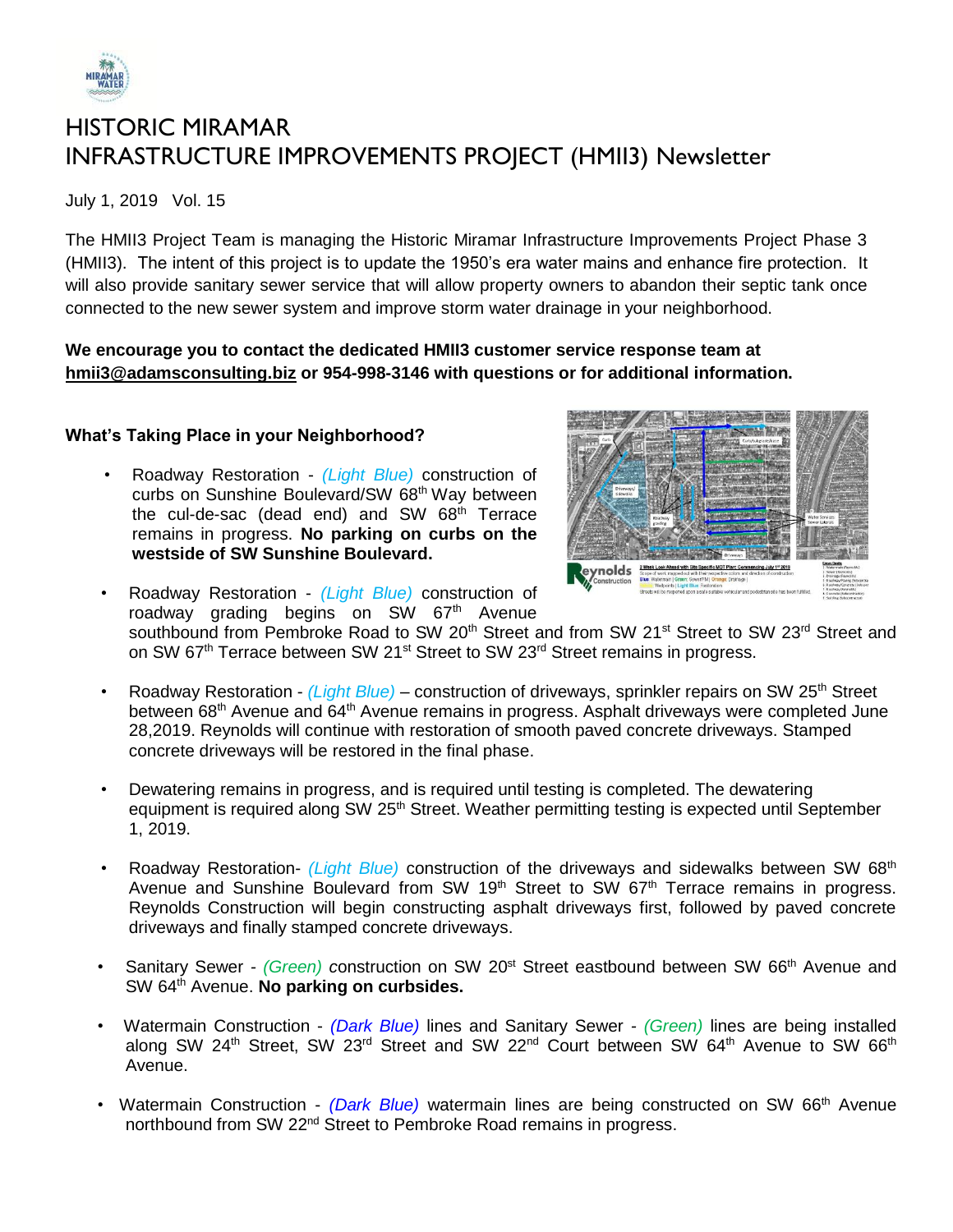

# HISTORIC MIRAMAR INFRASTRUCTURE IMPROVEMENTS PROJECT (HMII3) Newsletter

July 1, 2019 Vol. 15

The HMII3 Project Team is managing the Historic Miramar Infrastructure Improvements Project Phase 3 (HMII3). The intent of this project is to update the 1950's era water mains and enhance fire protection. It will also provide sanitary sewer service that will allow property owners to abandon their septic tank once connected to the new sewer system and improve storm water drainage in your neighborhood.

### **We encourage you to contact the dedicated HMII3 customer service response team at [hmii3@adamsconsulting.biz](mailto:hmii3@adamsconsulting.biz) or 954-998-3146 with questions or for additional information.**

## **What's Taking Place in your Neighborhood?**

• Roadway Restoration - *(Light Blue)* construction of curbs on Sunshine Boulevard/SW 68<sup>th</sup> Way between the cul-de-sac (dead end) and SW  $68<sup>th</sup>$  Terrace remains in progress. **No parking on curbs on the westside of SW Sunshine Boulevard.**



- Roadway Restoration *(Light Blue)* construction of roadway grading begins on SW 67<sup>th</sup> Avenue southbound from Pembroke Road to SW 20<sup>th</sup> Street and from SW 21<sup>st</sup> Street to SW 23<sup>rd</sup> Street and on SW 67<sup>th</sup> Terrace between SW 21<sup>st</sup> Street to SW 23<sup>rd</sup> Street remains in progress.
- Roadway Restoration *(Light Blue)* construction of driveways, sprinkler repairs on SW 25<sup>th</sup> Street between 68<sup>th</sup> Avenue and 64<sup>th</sup> Avenue remains in progress. Asphalt driveways were completed June 28,2019. Reynolds will continue with restoration of smooth paved concrete driveways. Stamped concrete driveways will be restored in the final phase.
- Dewatering remains in progress, and is required until testing is completed. The dewatering equipment is required along SW 25<sup>th</sup> Street. Weather permitting testing is expected until September 1, 2019.
- Roadway Restoration- *(Light Blue)* construction of the driveways and sidewalks between SW 68<sup>th</sup> Avenue and Sunshine Boulevard from SW 19<sup>th</sup> Street to SW 67<sup>th</sup> Terrace remains in progress. Reynolds Construction will begin constructing asphalt driveways first, followed by paved concrete driveways and finally stamped concrete driveways.
- Sanitary Sewer *(Green) c*onstruction on SW 20<sup>st</sup> Street eastbound between SW 66<sup>th</sup> Avenue and SW 64<sup>th</sup> Avenue. **No parking on curbsides.**
- Watermain Construction *(Dark Blue)* lines and Sanitary Sewer *- (Green)* lines are being installed along SW 24<sup>th</sup> Street, SW 23<sup>rd</sup> Street and SW 22<sup>nd</sup> Court between SW 64<sup>th</sup> Avenue to SW 66<sup>th</sup> Avenue.
- Watermain Construction *(Dark Blue)* watermain lines are being constructed on SW 66<sup>th</sup> Avenue northbound from SW 22<sup>nd</sup> Street to Pembroke Road remains in progress.